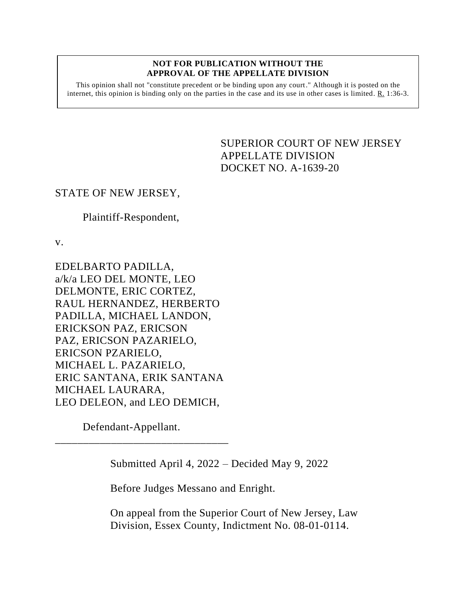## **NOT FOR PUBLICATION WITHOUT THE APPROVAL OF THE APPELLATE DIVISION**

This opinion shall not "constitute precedent or be binding upon any court." Although it is posted on the internet, this opinion is binding only on the parties in the case and its use in other cases is limited.  $R_1$  1:36-3.

> <span id="page-0-0"></span>SUPERIOR COURT OF NEW JERSEY APPELLATE DIVISION DOCKET NO. A-1639-20

## STATE OF NEW JERSEY,

## Plaintiff-Respondent,

v.

EDELBARTO PADILLA, a/k/a LEO DEL MONTE, LEO DELMONTE, ERIC CORTEZ, RAUL HERNANDEZ, HERBERTO PADILLA, MICHAEL LANDON, ERICKSON PAZ, ERICSON PAZ, ERICSON PAZARIELO, ERICSON PZARIELO, MICHAEL L. PAZARIELO, ERIC SANTANA, ERIK SANTANA MICHAEL LAURARA, LEO DELEON, and LEO DEMICH,

Defendant-Appellant.

\_\_\_\_\_\_\_\_\_\_\_\_\_\_\_\_\_\_\_\_\_\_\_\_\_\_\_\_\_\_\_

Submitted April 4, 2022 – Decided May 9, 2022

Before Judges Messano and Enright.

On appeal from the Superior Court of New Jersey, Law Division, Essex County, Indictment No. 08-01-0114.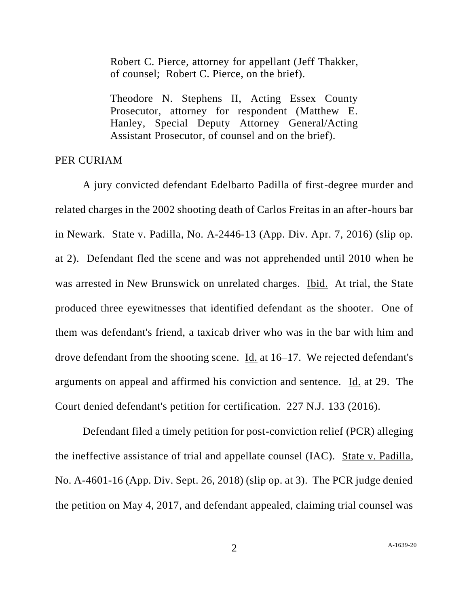Robert C. Pierce, attorney for appellant (Jeff Thakker, of counsel; Robert C. Pierce, on the brief).

Theodore N. Stephens II, Acting Essex County Prosecutor, attorney for respondent (Matthew E. Hanley, Special Deputy Attorney General/Acting Assistant Prosecutor, of counsel and on the brief).

## PER CURIAM

A jury convicted defendant Edelbarto Padilla of first-degree murder and related charges in the 2002 shooting death of Carlos Freitas in an after-hours bar in Newark. State v. Padilla, No. A-2446-13 (App. Div. Apr. 7, 2016) (slip op. at 2). Defendant fled the scene and was not apprehended until 2010 when he was arrested in New Brunswick on unrelated charges. Ibid. At trial, the State produced three eyewitnesses that identified defendant as the shooter. One of them was defendant's friend, a taxicab driver who was in the bar with him and drove defendant from the shooting scene. Id. at 16–17. We rejected defendant's arguments on appeal and affirmed his conviction and sentence. Id. at 29. The Court denied defendant's petition for certification. 227 N.J. 133 (2016).

Defendant filed a timely petition for post-conviction relief (PCR) alleging the ineffective assistance of trial and appellate counsel (IAC). State v. Padilla, No. A-4601-16 (App. Div. Sept. 26, 2018) (slip op. at 3). The PCR judge denied the petition on May 4, 2017, and defendant appealed, claiming trial counsel was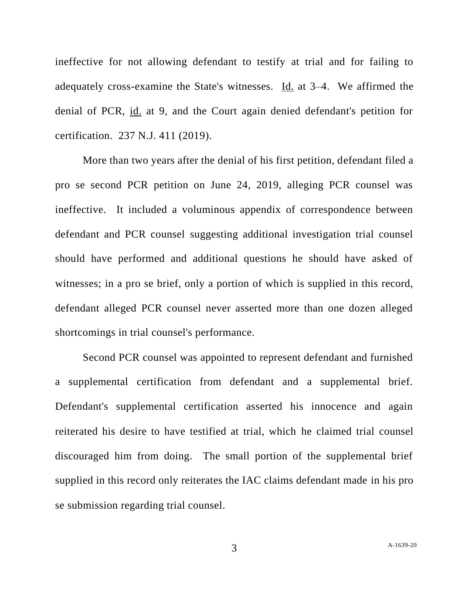ineffective for not allowing defendant to testify at trial and for failing to adequately cross-examine the State's witnesses. Id. at 3–4. We affirmed the denial of PCR, id. at 9, and the Court again denied defendant's petition for certification. 237 N.J. 411 (2019).

More than two years after the denial of his first petition, defendant filed a pro se second PCR petition on June 24, 2019, alleging PCR counsel was ineffective. It included a voluminous appendix of correspondence between defendant and PCR counsel suggesting additional investigation trial counsel should have performed and additional questions he should have asked of witnesses; in a pro se brief, only a portion of which is supplied in this record, defendant alleged PCR counsel never asserted more than one dozen alleged shortcomings in trial counsel's performance.

Second PCR counsel was appointed to represent defendant and furnished a supplemental certification from defendant and a supplemental brief. Defendant's supplemental certification asserted his innocence and again reiterated his desire to have testified at trial, which he claimed trial counsel discouraged him from doing. The small portion of the supplemental brief supplied in this record only reiterates the IAC claims defendant made in his pro se submission regarding trial counsel.

3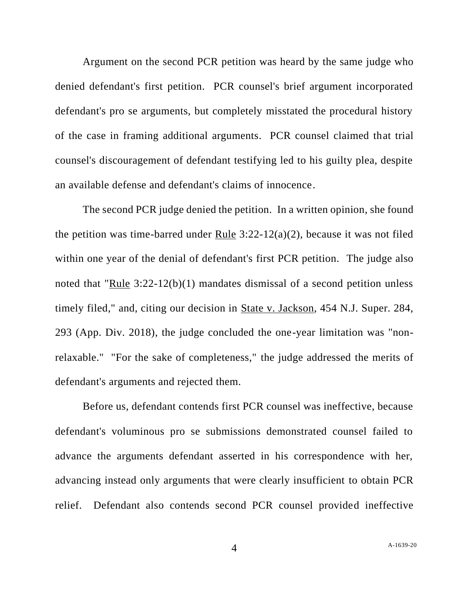Argument on the second PCR petition was heard by the same judge who denied defendant's first petition. PCR counsel's brief argument incorporated defendant's pro se arguments, but completely misstated the procedural history of the case in framing additional arguments. PCR counsel claimed that trial counsel's discouragement of defendant testifying led to his guilty plea, despite an available defense and defendant's claims of innocence.

The second PCR judge denied the petition. In a written opinion, she found the petition was time-barred under Rule  $3:22-12(a)(2)$ , because it was not filed within one year of the denial of defendant's first PCR petition. The judge also noted that "Rule 3:22-12(b)(1) mandates dismissal of a second petition unless timely filed," and, citing our decision in State v. Jackson, 454 N.J. Super. 284, 293 (App. Div. 2018), the judge concluded the one-year limitation was "nonrelaxable." "For the sake of completeness," the judge addressed the merits of defendant's arguments and rejected them.

Before us, defendant contends first PCR counsel was ineffective, because defendant's voluminous pro se submissions demonstrated counsel failed to advance the arguments defendant asserted in his correspondence with her, advancing instead only arguments that were clearly insufficient to obtain PCR relief. Defendant also contends second PCR counsel provided ineffective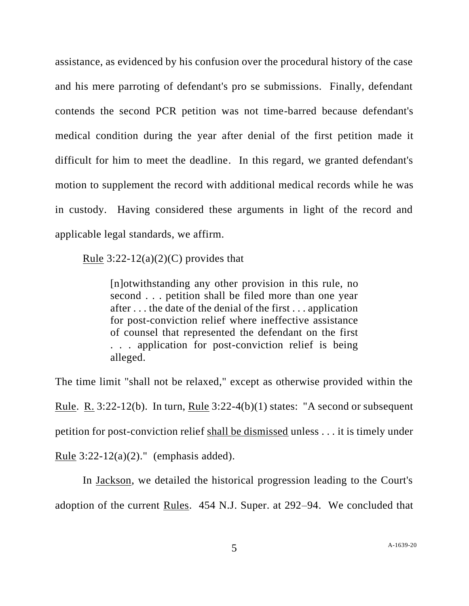assistance, as evidenced by his confusion over the procedural history of the case and his mere parroting of defendant's pro se submissions. Finally, defendant contends the second PCR petition was not time-barred because defendant's medical condition during the year after denial of the first petition made it difficult for him to meet the deadline. In this regard, we granted defendant's motion to supplement the record with additional medical records while he was in custody. Having considered these arguments in light of the record and applicable legal standards, we affirm.

Rule  $3:22-12(a)(2)(C)$  provides that

[n]otwithstanding any other provision in this rule, no second . . . petition shall be filed more than one year after . . . the date of the denial of the first . . . application for post-conviction relief where ineffective assistance of counsel that represented the defendant on the first . . . application for post-conviction relief is being alleged.

The time limit "shall not be relaxed," except as otherwise provided within the Rule. R.  $3:22-12(b)$ . In turn, Rule  $3:22-4(b)(1)$  states: "A second or subsequent petition for post-conviction relief shall be dismissed unless . . . it is timely under Rule  $3:22-12(a)(2)$ ." (emphasis added).

In Jackson, we detailed the historical progression leading to the Court's adoption of the current Rules. 454 N.J. Super. at 292–94. We concluded that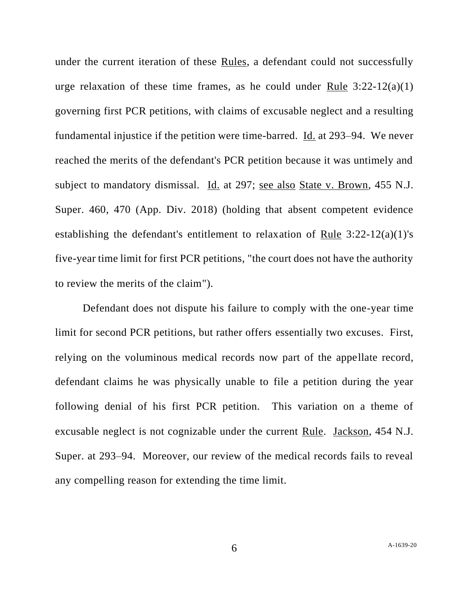under the current iteration of these Rules, a defendant could not successfully urge relaxation of these time frames, as he could under Rule  $3:22-12(a)(1)$ governing first PCR petitions, with claims of excusable neglect and a resulting fundamental injustice if the petition were time-barred. Id. at 293–94. We never reached the merits of the defendant's PCR petition because it was untimely and subject to mandatory dismissal. Id. at 297; see also State v. Brown, 455 N.J. Super. 460, 470 (App. Div. 2018) (holding that absent competent evidence establishing the defendant's entitlement to relaxation of Rule 3:22-12(a)(1)'s five-year time limit for first PCR petitions, "the court does not have the authority to review the merits of the claim").

Defendant does not dispute his failure to comply with the one-year time limit for second PCR petitions, but rather offers essentially two excuses. First, relying on the voluminous medical records now part of the appellate record, defendant claims he was physically unable to file a petition during the year following denial of his first PCR petition. This variation on a theme of excusable neglect is not cognizable under the current Rule. Jackson, 454 N.J. Super. at 293–94. Moreover, our review of the medical records fails to reveal any compelling reason for extending the time limit.